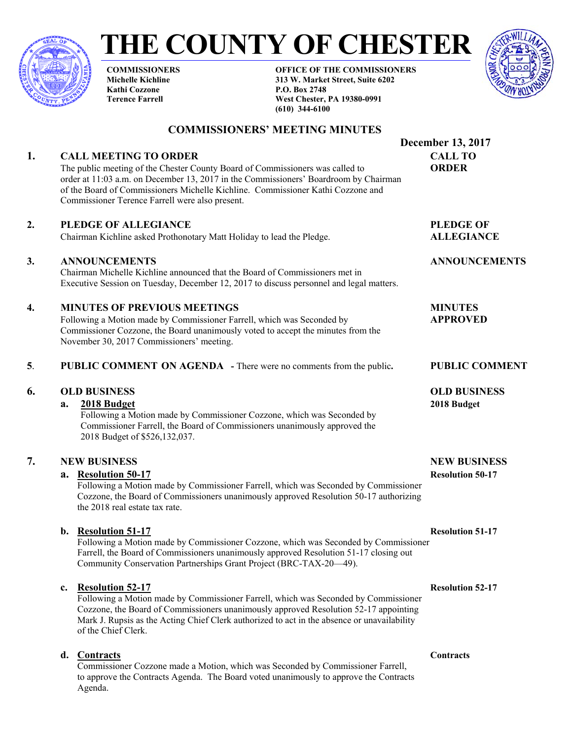

# **THE COUNTY OF CHESTER**

**COMMISSIONERS Michelle Kichline Kathi Cozzone Terence Farrell** 

**OFFICE OF THE COMMISSIONERS 313 W. Market Street, Suite 6202 P.O. Box 2748 West Chester, PA 19380-0991 (610) 344-6100** 



# **COMMISSIONERS' MEETING MINUTES**

# **1. CALL MEETING TO ORDER CALL TO**

The public meeting of the Chester County Board of Commissioners was called to **ORDER** order at 11:03 a.m. on December 13, 2017 in the Commissioners' Boardroom by Chairman of the Board of Commissioners Michelle Kichline. Commissioner Kathi Cozzone and Commissioner Terence Farrell were also present.

# **2. PLEDGE OF ALLEGIANCE** PLEDGE OF

Chairman Kichline asked Prothonotary Matt Holiday to lead the Pledge. **ALLEGIANCE** 

# **3. ANNOUNCEMENTS ANNOUNCEMENTS**

 Chairman Michelle Kichline announced that the Board of Commissioners met in Executive Session on Tuesday, December 12, 2017 to discuss personnel and legal matters.

# **4. MINUTES OF PREVIOUS MEETINGS MINUTES**

Following a Motion made by Commissioner Farrell, which was Seconded by **APPROVED** Commissioner Cozzone, the Board unanimously voted to accept the minutes from the November 30, 2017 Commissioners' meeting.

### **5**. **PUBLIC COMMENT ON AGENDA -** There were no comments from the public**. PUBLIC COMMENT**

# **6. OLD BUSINESS OLD BUSINESS**

### **a. 2018 Budget 2018 Budget**

Following a Motion made by Commissioner Cozzone, which was Seconded by Commissioner Farrell, the Board of Commissioners unanimously approved the 2018 Budget of \$526,132,037.

# **7. NEW BUSINESS NEW BUSINESS**

# **a.** Resolution 50-17 Resolution 50-17

Following a Motion made by Commissioner Farrell, which was Seconded by Commissioner Cozzone, the Board of Commissioners unanimously approved Resolution 50-17 authorizing the 2018 real estate tax rate.

# **b.** Resolution 51-17 Resolution 51-17

Following a Motion made by Commissioner Cozzone, which was Seconded by Commissioner Farrell, the Board of Commissioners unanimously approved Resolution 51-17 closing out Community Conservation Partnerships Grant Project (BRC-TAX-20—49).

# **c. Resolution 52-17 Resolution 52-17**

Following a Motion made by Commissioner Farrell, which was Seconded by Commissioner Cozzone, the Board of Commissioners unanimously approved Resolution 52-17 appointing Mark J. Rupsis as the Acting Chief Clerk authorized to act in the absence or unavailability of the Chief Clerk.

# **d. Contracts Contracts Contracts**

Commissioner Cozzone made a Motion, which was Seconded by Commissioner Farrell, to approve the Contracts Agenda. The Board voted unanimously to approve the Contracts Agenda.

 **December 13, 2017**